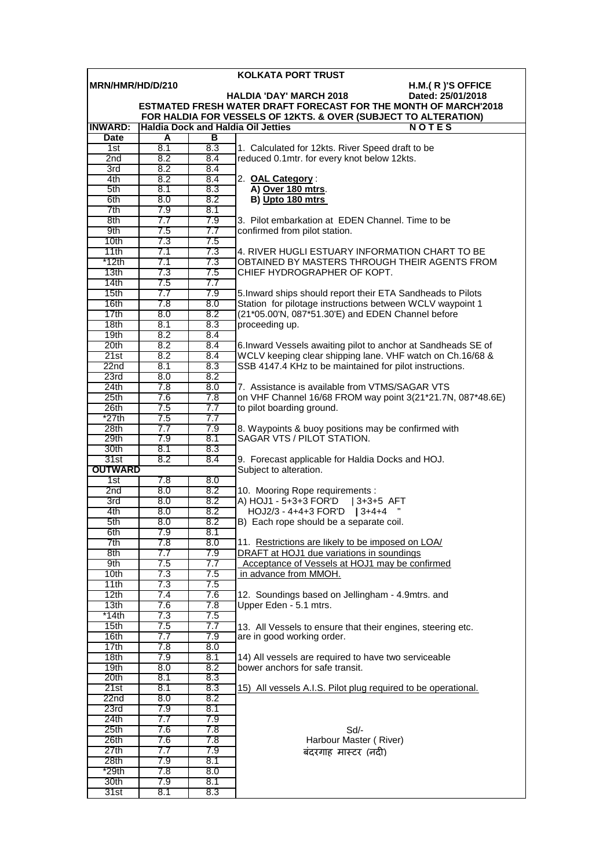|                              |            |     | <b>KOLKATA PORT TRUST</b>                                                         |
|------------------------------|------------|-----|-----------------------------------------------------------------------------------|
| MRN/HMR/HD/D/210             |            |     | H.M.(R)'S OFFICE                                                                  |
|                              |            |     | <b>HALDIA 'DAY' MARCH 2018</b><br>Dated: 25/01/2018                               |
|                              |            |     | ESTMATED FRESH WATER DRAFT FORECAST FOR THE MONTH OF MARCH'2018                   |
|                              |            |     | FOR HALDIA FOR VESSELS OF 12KTS. & OVER (SUBJECT TO ALTERATION)                   |
| <b>INWARD:</b>               |            |     | <b>Haldia Dock and Haldia Oil Jetties</b><br>NOTES                                |
| <b>Date</b>                  | A          | в   |                                                                                   |
| 1st                          | 8.1        | 8.3 | 1. Calculated for 12kts. River Speed draft to be                                  |
| 2nd                          | 8.2        | 8.4 | reduced 0.1mtr. for every knot below 12kts.                                       |
| 3rd                          | 8.2        | 8.4 |                                                                                   |
| 4th                          | 8.2        | 8.4 | 2. OAL Category:                                                                  |
| 5th                          | 8.1        | 8.3 | A) Over 180 mtrs.                                                                 |
| 6th                          | 8.0        | 8.2 | B) Upto 180 mtrs                                                                  |
| 7th                          | 7.9        | 8.1 |                                                                                   |
| 8th                          | 7.7        | 7.9 | 3. Pilot embarkation at EDEN Channel. Time to be                                  |
| 9th                          | 7.5        | 7.7 | confirmed from pilot station.                                                     |
| 10 <sub>th</sub>             | 7.3        | 7.5 |                                                                                   |
| 11th                         | 7.1        | 7.3 | 4. RIVER HUGLI ESTUARY INFORMATION CHART TO BE                                    |
| $*12th$                      | 7.1        | 7.3 | OBTAINED BY MASTERS THROUGH THEIR AGENTS FROM                                     |
| 13th                         | 7.3        | 7.5 | CHIEF HYDROGRAPHER OF KOPT.                                                       |
| 14th                         | 7.5        | 7.7 |                                                                                   |
| 15th                         | 7.7        | 7.9 | 5. Inward ships should report their ETA Sandheads to Pilots                       |
| 16th                         | 7.8        | 8.0 | Station for pilotage instructions between WCLV waypoint 1                         |
| 17th                         | 8.0        | 8.2 | (21*05.00'N, 087*51.30'E) and EDEN Channel before                                 |
| 18 <sub>th</sub>             | 8.1        | 8.3 | proceeding up.                                                                    |
| 19 <sub>th</sub>             | 8.2        | 8.4 |                                                                                   |
| 20th                         | 8.2        | 8.4 | 6. Inward Vessels awaiting pilot to anchor at Sandheads SE of                     |
| 21st                         | 8.2        | 8.4 | WCLV keeping clear shipping lane. VHF watch on Ch.16/68 &                         |
| 22n <sub>d</sub>             | 8.1        | 8.3 | SSB 4147.4 KHz to be maintained for pilot instructions.                           |
| 23rd                         | 8.0        | 8.2 |                                                                                   |
| 24th                         | 7.8        | 8.0 | 7. Assistance is available from VTMS/SAGAR VTS                                    |
| 25 <sub>th</sub>             | 7.6        | 7.8 | on VHF Channel 16/68 FROM way point 3(21*21.7N, 087*48.6E)                        |
| 26th                         | 7.5        | 7.7 | to pilot boarding ground.                                                         |
| $*27th$                      | 7.5        | 7.7 |                                                                                   |
|                              |            |     |                                                                                   |
| 28 <sub>th</sub>             | 7.7        | 7.9 | 8. Waypoints & buoy positions may be confirmed with<br>SAGAR VTS / PILOT STATION. |
| 29th                         | 7.9<br>8.1 | 8.1 |                                                                                   |
| 30th                         | 8.2        | 8.3 |                                                                                   |
| 31st                         |            | 8.4 | 9. Forecast applicable for Haldia Docks and HOJ.                                  |
| <b>OUTWARD</b><br>7.8<br>8.0 |            |     | Subject to alteration.                                                            |
| 1st<br>2nd                   | 8.0        | 8.2 | 10. Mooring Rope requirements :                                                   |
| 3rd                          | 8.0        | 8.2 | A) HOJ1 - 5+3+3 FOR'D                                                             |
|                              |            | 8.2 | $ 3+3+5$ AFT<br>HOJ2/3 - 4+4+3 FOR'D   3+4+4                                      |
| 4th                          | 8.0        |     |                                                                                   |
| 5th                          | 8.0        | 8.2 | B) Each rope should be a separate coil.                                           |
| 6th                          | 7.9        | 8.1 |                                                                                   |
| 7th                          | 7.8        | 8.0 | 11. Restrictions are likely to be imposed on LOA/                                 |
| 8th                          | 7.7        | 7.9 | DRAFT at HOJ1 due variations in soundings                                         |
| 9th                          | 7.5        | 7.7 | Acceptance of Vessels at HOJ1 may be confirmed                                    |
| 10th                         | 7.3        | 7.5 | in advance from MMOH.                                                             |
| 11th                         | 7.3        | 7.5 |                                                                                   |
| 12th                         | 7.4        | 7.6 | 12. Soundings based on Jellingham - 4.9mtrs. and                                  |
| 13 <sub>th</sub>             | 7.6        | 7.8 | Upper Eden - 5.1 mtrs.                                                            |
| *14th                        | 7.3        | 7.5 |                                                                                   |
| 15th                         | 7.5        | 7.7 | 13. All Vessels to ensure that their engines, steering etc.                       |
| 16th                         | 7.7        | 7.9 | are in good working order.                                                        |
| 17th                         | 7.8        | 8.0 |                                                                                   |
| 18 <sub>th</sub>             | 7.9        | 8.1 | 14) All vessels are required to have two serviceable                              |
| 19th                         | 8.0        | 8.2 | bower anchors for safe transit.                                                   |
| 20th                         | 8.1        | 8.3 |                                                                                   |
| 21st                         | 8.1        | 8.3 | 15) All vessels A.I.S. Pilot plug required to be operational.                     |
| 22nd                         | 8.0        | 8.2 |                                                                                   |
| 23rd                         | 7.9        | 8.1 |                                                                                   |
| 24th                         | 7.7        | 7.9 |                                                                                   |
| 25 <sub>th</sub>             | 7.6        | 7.8 | Sd                                                                                |
| 26th                         | 7.6        | 7.8 | Harbour Master (River)                                                            |
| 27th                         | 7.7        | 7.9 | बंदरगाह मास्टर (नदी)                                                              |
| 28th                         | 7.9        | 8.1 |                                                                                   |
| *29th                        | 7.8        | 8.0 |                                                                                   |
| 30th                         | 7.9        | 8.1 |                                                                                   |
| 31st                         | 8.1        | 8.3 |                                                                                   |